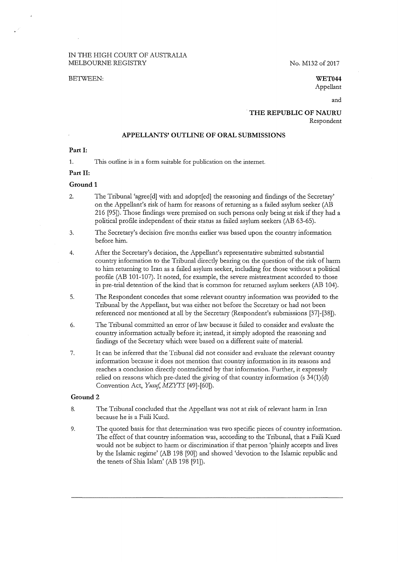# IN THE HIGH COURT OF AUSTRALIA MELBOURNE REGISTRY No. M132 of 2017

#### BETWEEN: **WET044**

Appellant

and

### . **THE REPUBLIC OF NAURU**  Respondent

### **APPELLANTS' OUTLINE OF ORAL SUBMISSIONS**

**Part I:** 

1. This outline is in a form suitable for publication on the internet.

# **Part 11:**

# **Ground 1**

- 2. The Tribunal 'agree[d] with and adopt[ed] the reasoning and findings of the Secretary' on the Appellant's risk of harm for reasons of returning as a failed asylum seeker (AB 216 [95]). Those findings were premised on such persons only being at risk if they had a political profile independent of their status as failed asylum seekers (AB 63-65).
- 3. The Secretary's decision five months earlier was based upon the country information before him.

4. After the Secretary's decision, the Appellant's representative submitted substantial country information to the Tribunal directly bearing on the question of the risk of harm to him returning to Iran as a failed asylum seeker, including for those without a political profile (AB 101-107). It noted, for example, the severe mistreatment accorded to those in pre-trial detention of the kind that is common for returned asylum seekers (AB 104).

- 5. The Respondent concedes that some relevant country information was provided to the Tribunal by the Appellant, but was either not before the Secretary or had not been referenced nor mentioned at all by the Secretary (Respondent's submissions [37]-[38]).
- 6. The Tribunal committed an error of law because it failed to consider and evaluate the country information actually before it; instead, it simply adopted the reasoning and findings of the Secretary which were based on a different suite of material.
- 7. It can be inferred that the Tribunal did not consider and evaluate the relevant country information because it does not mention that country information in its reasons and reaches a conclusion directly contradicted by that information. Further, it expressly relied on reasons which pre-dated the giving of that country information (s 34(1)(d) Convention Act, *Yusuf*, MZYTS [49]-[60]).

### **Ground2**

- 8. The Tribunal concluded that the Appellant was not at risk of relevant harm in Iran because he is a Faili Kurd.
- 9. The quoted basis for that determination was two specific pieces of country information. The effect of that country information was, according to the Tribunal, that a Faili Kurd would not be subject to harm or discrimination if that person 'plainly accepts and lives by the Islamic regime' (AB 198 [90]) and showed 'devotion to the Islamic republic and the tenets of Shia Islam' (AB 198 [91]).